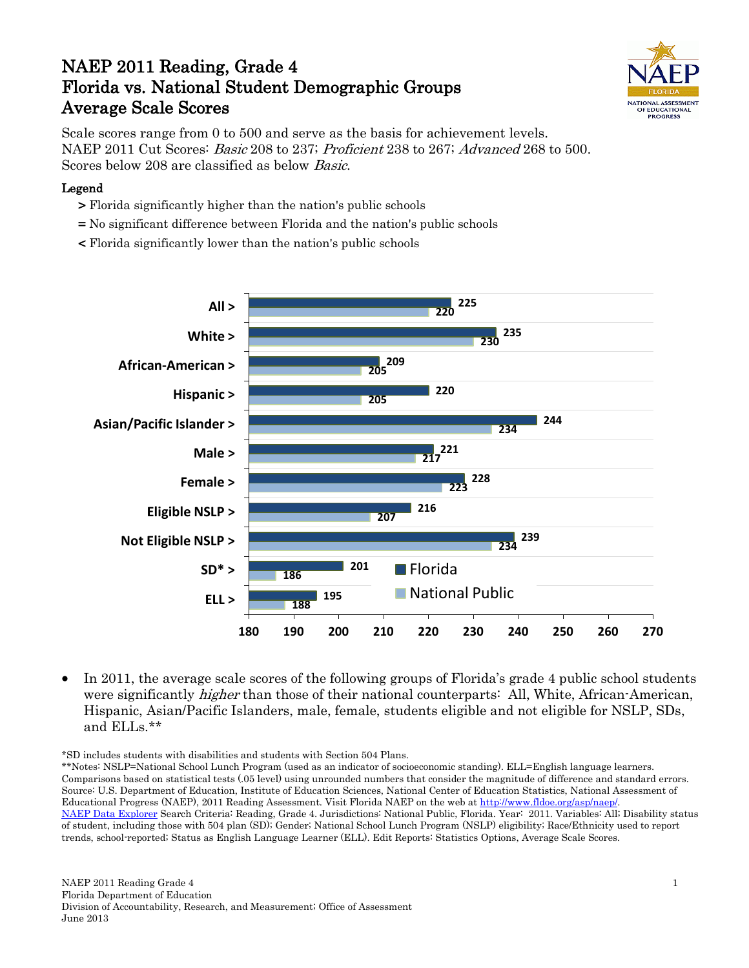# NAEP 2011 Reading, Grade 4 Florida vs. National Student Demographic Groups Average Scale Scores



Scale scores range from 0 to 500 and serve as the basis for achievement levels. NAEP 2011 Cut Scores: Basic 208 to 237; Proficient 238 to 267; Advanced 268 to 500. Scores below 208 are classified as below Basic.

#### Legend

- > Florida significantly higher than the nation's public schools
- = No significant difference between Florida and the nation's public schools
- < Florida significantly lower than the nation's public schools



• In 2011, the average scale scores of the following groups of Florida's grade 4 public school students were significantly *higher* than those of their national counterparts: All, White, African-American, Hispanic, Asian/Pacific Islanders, male, female, students eligible and not eligible for NSLP, SDs, and ELLs.\*\*

\*SD includes students with disabilities and students with Section 504 Plans.

\*\*Notes: NSLP=National School Lunch Program (used as an indicator of socioeconomic standing). ELL=English language learners. Comparisons based on statistical tests (.05 level) using unrounded numbers that consider the magnitude of difference and standard errors. Source: U.S. Department of Education, Institute of Education Sciences, National Center of Education Statistics, National Assessment of Educational Progress (NAEP), 2011 Reading Assessment. Visit Florida NAEP on the web a[t http://www.fldoe.org/asp/naep/.](http://www.fldoe.org/asp/naep/) [NAEP Data Explorer](http://nces.ed.gov/nationsreportcard/naepdata/) Search Criteria: Reading, Grade 4. Jurisdictions: National Public, Florida. Year: 2011. Variables: All; Disability status of student, including those with 504 plan (SD); Gender; National School Lunch Program (NSLP) eligibility; Race/Ethnicity used to report trends, school-reported; Status as English Language Learner (ELL). Edit Reports: Statistics Options, Average Scale Scores.

NAEP 2011 Reading Grade 4 Florida Department of Education Division of Accountability, Research, and Measurement; Office of Assessment June 2013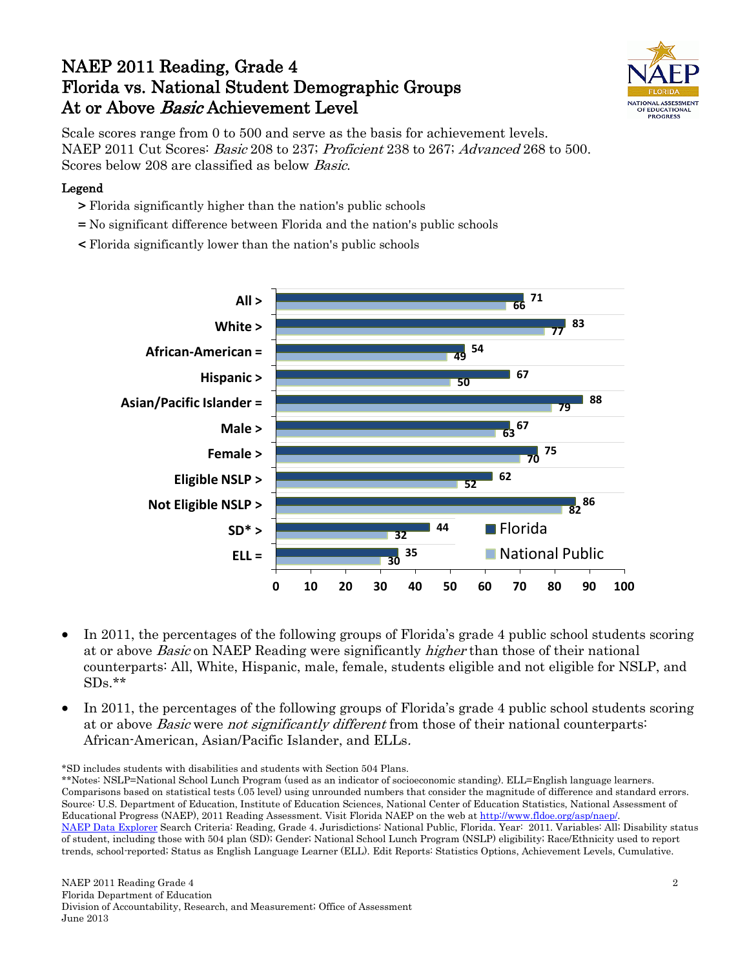## NAEP 2011 Reading, Grade 4 Florida vs. National Student Demographic Groups At or Above Basic Achievement Level



Scale scores range from 0 to 500 and serve as the basis for achievement levels. NAEP 2011 Cut Scores: Basic 208 to 237; Proficient 238 to 267; Advanced 268 to 500. Scores below 208 are classified as below Basic.

#### Legend

- > Florida significantly higher than the nation's public schools
- = No significant difference between Florida and the nation's public schools
- < Florida significantly lower than the nation's public schools



- In 2011, the percentages of the following groups of Florida's grade 4 public school students scoring at or above Basic on NAEP Reading were significantly higher than those of their national counterparts: All, White, Hispanic, male, female, students eligible and not eligible for NSLP, and  $SDs.**$
- In 2011, the percentages of the following groups of Florida's grade 4 public school students scoring at or above Basic were not significantly different from those of their national counterparts: African-American, Asian/Pacific Islander, and ELLs.

\*SD includes students with disabilities and students with Section 504 Plans.

\*\*Notes: NSLP=National School Lunch Program (used as an indicator of socioeconomic standing). ELL=English language learners. Comparisons based on statistical tests (.05 level) using unrounded numbers that consider the magnitude of difference and standard errors. Source: U.S. Department of Education, Institute of Education Sciences, National Center of Education Statistics, National Assessment of Educational Progress (NAEP), 2011 Reading Assessment. Visit Florida NAEP on the web a[t http://www.fldoe.org/asp/naep/.](http://www.fldoe.org/asp/naep/) [NAEP Data Explorer](http://nces.ed.gov/nationsreportcard/naepdata/) Search Criteria: Reading, Grade 4. Jurisdictions: National Public, Florida. Year: 2011. Variables: All; Disability status of student, including those with 504 plan (SD); Gender; National School Lunch Program (NSLP) eligibility; Race/Ethnicity used to report trends, school-reported; Status as English Language Learner (ELL). Edit Reports: Statistics Options, Achievement Levels, Cumulative.